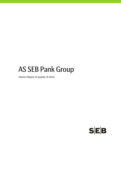# AS SEB Pank Group

Interim Report of Quarter III 2010

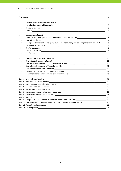#### **Contents** p.

|      | Statement of the Management Board Statement of the Management of the Management Board                                   | 2                |
|------|-------------------------------------------------------------------------------------------------------------------------|------------------|
| I.   |                                                                                                                         | 3                |
| 1.   |                                                                                                                         | 3                |
| 2.   |                                                                                                                         | 3                |
| II.  | Management Report <b>Executive Community Community</b> Community Community Community Community Community Community Comm | 4                |
| 1.   | Credit institution's group as defined in Credit Institutions Law entitled and the control of the control of the         | 4                |
| 1.1. |                                                                                                                         | 4                |
| 1.2. | Changes in the consolidated group during the accounting period and plans for year 2010______                            | 5                |
| 2.   |                                                                                                                         | 5                |
| 3.   |                                                                                                                         | $\overline{7}$   |
| 4.   |                                                                                                                         | $\boldsymbol{9}$ |
| 5.   |                                                                                                                         | 9                |
| Ш.   |                                                                                                                         | 11               |
| 1.   |                                                                                                                         |                  |
| 2.   | Consolidated statement of comprehensive income 11 11 11                                                                 |                  |
| 3.   |                                                                                                                         | 12               |
| 4.   | Consolidated cash flow statement                                                                                        | 13               |
| 5.   |                                                                                                                         |                  |
| 6.   |                                                                                                                         |                  |
|      |                                                                                                                         | 16               |
|      |                                                                                                                         | 17               |
|      |                                                                                                                         | 17               |
|      |                                                                                                                         |                  |
|      |                                                                                                                         |                  |
|      |                                                                                                                         |                  |
|      |                                                                                                                         | 18               |
|      | Note 8 Overdue                                                                                                          | 18               |
|      | Note 9 Geographic concentration of financial assets and liabilities<br>19                                               |                  |
|      | Note 10 Concentration of financial assets and liabilities by economic sector<br>20                                      |                  |
|      |                                                                                                                         | 22               |
|      |                                                                                                                         | 23               |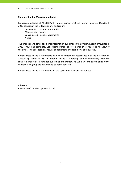# **Statement of the Management Board**

Management Board of AS SEB Pank is on an opinion that the Interim Report of Quarter III 2010 consists of the following parts and reports:

 Introduction – general information Management Report Consolidated Financial Statements **Notes** 

The financial and other additional information published in the Interim Report of Quarter III 2010 is true and complete. Consolidated financial statements give a true and fair view of the actual financial position, results of operations and cash flows of the group.

Consolidated financial statements have been compiled in accordance with the International Accounting Standard IAS 34 "Interim financial reporting" and in conformity with the requirements of Eesti Pank for publishing information. AS SEB Pank and subsidiaries of the consolidated group are assumed to be going concern.

Consolidated financial statements for the Quarter III 2010 are not audited.

Riho Unt Chairman of the Management Board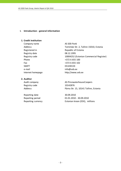# **I. Introduction ‐ general information**

# **1. Credit institution**

Company name AS SEB Pank Registry date 08.12.1995 Phone  $+3726655100$ Fax  $+372\ 6\ 655\ 102$ SWIFT SWIFT ENGINEERING THE STREET e-mail info@seb.ee

# **2. Auditor**

Registry code 10142876

Reporting date 30.09.2010

Address Tornimäe Str. 2, Tallinn 15010, Estonia Registered in Republic of Estonia Registry code 10004252 (Estonian Commercial Register) Internet homepage http://www.seb.ee

# Audit company **AS PricewaterhouseCoopers** Address **Pärnu Str. 15, 10141 Tallinn, Estonia**

Reporting period 01.01.2010 - 30.09.2010 Reporting currency Estonian kroon (EEK), millions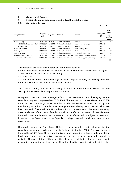# **II. Management Report**

# **1. Credit institution's group as defined in Credit Institutions Law**

# **1.1. Consolidated group**

 $\frac{30.09.10}{10}$ 

| Company name                 | Registry<br>code | Reg. date | <b>Address</b>        | <b>Activity</b>                                    | Holding***<br>(%) | At an<br>acqui-<br>sition<br>cost (EEK<br>mio) |
|------------------------------|------------------|-----------|-----------------------|----------------------------------------------------|-------------------|------------------------------------------------|
| AS SEB Liising               | 10281767         | 03.10.97  | Tallinn, Tornimäe 2   | Leasing                                            | 100.0%            | 23.4                                           |
| AS SEB Kindlustus maakler*   | 10723587         | 16.01.01  | Tallinn, Tornimäe 2   | Insurance brokerage                                | 100.0%            | $\overline{\phantom{a}}$                       |
| AS Rentacar*                 | 10303546         | 20.10.97  | Haapsalu, Karja 27    | Leasing                                            | 100.0%            |                                                |
| AS SEB Varahaldus            | 10035169         | 22.05.96  | Tallinn, Tornimäe 2   | Asset management                                   | 100.0%            | 42.5                                           |
| AS Bangalo                   | 10088272         | 18.10.96  | Tallinn, Tornimäe 2   | Rental of computers                                | 100.0%            | 5.0                                            |
| AS SEB Enskilda              | 11354037         | 16.02.07  | Tallinn, Tornimäe 2   | Financial consulting                               | 100.0%            | 11.5                                           |
| AS Sertifits eerimiskeskus** | 10747013         | 27.03.01  | Tallinn, Pärnu mnt 12 | Data communication services                        | 25.0%             | 15.1                                           |
| OÜ TietoEnator Support **    | 11065244         | 30.08.04  |                       | Tallinn, Roosikrantsi 11IT consulting, programming | 20.0%             | 0.6                                            |
|                              |                  |           |                       |                                                    |                   | 98.1                                           |

All enterprises are registered in Estonian Commercial Register.

Parent company of the Group is AS SEB Pank, its activity is banking (information on page 3).

\* Consolidated subsidiaries of AS SEB Liising

\*\* Associates

\*\*\* For all investments the percentage of holding equals to both, the holding from the number of shares as well as from the number of votes.

The "consolidated group" in the meaning of Credit Institutions Law in Estonia and the "Group" for IFRS consolidation purposes are identical.

Non‐profit association SEB Heategevusfond is an association, not belonging to the consolidation group, registered on 06.01.2006. The founders of the association are AS SEB Pank and AS SEB Elu‐ ja Pensionikindlustus. The association is aimed at raising and distributing funds for charitable cause to organisations, dealing with children, who have been deprived of parental care. Upon dissolution of the association, the assets remaining after satisfaction of the claims of creditors shall be transferred to a non‐profit association or foundation with similar objectives, entered to the list of associations subject to income tax incentive of the Government of the Republic, or a legal person in public law, state or local government.

Non‐profit association Spordiklubi United is an association, not belonging to the consolidation group, which started activitiy from September 2008. The association is founded by AS SEB Pank. The association is aimed at organising on hobby and competition level sport events and organising promotions for advertising of own and supporter´s activities. Upon dissolution of the association, the assets shall be transferred to a non‐profit association, foundation or other persons filling the objectives by articles in public interests.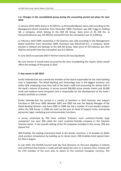# **1.2. Changes in the consolidated group during the accounting period and plans for year 2010**

In January 2010 100% shares in AS SEB Elu‐ ja Pensionikindlustus were sold according to the Management Board resolution from December 2009. Purchaser was SEB Trygg Liv Holding AB, a company, which belong to the SEB AB Group. Sales price of AS SEB Elu‐ ja Pensionikindlustus was 219 EEKmio and profit from the transaction was 51.3 EEKmio.

In February 2010 100% ownership in OÜ Estectus was sold according to the Management Board resolution from December 2009. Purchaser was Warehold B.V., a company, which located in Holland and belongs to the SEB AB Group. Sales price of OÜ Estectus was 50.6 EEKmio and profit from the transaction was 0.5 EEKmio.

In June 2010 an associate SEB IT Partner Estonia OÜ was liquidated.

No such events or trends have occurred by the time of publishing the report, which would affect the strategy of the group in 2010.

# **2. Key events in QIII 2010**

Eerika Vaikmäe‐Koit was named the member of the board responsible for the retail banking area in September. The Retail Banking and Technology area is the biggest business unit within SEB, employing more than half of the bank's staff and accounting for almost half of the bank's volume of business. It serves around 500,000 active private clients and 34,000 small and medium‐sized companies and is responsible for the development of the bank's product portfolio as a whole.

Eerika Vaikmäe‐Koit has served in a variety of positions in both business and support functions in SEB since 1996. Between 2001 and 2005 she was the Deputy Manager of the Retail Banking Division, and from 2005 to 2008 she led a number of cross-border projects within the SEB Group. In 2008 she took up the post of Head of Support Units, overseeing personnel, legal, marketing and communication functions.

A survey conducted by TNS Emor entitled "Estonia's most customer‐friendly large companies" has seen SEB voted the most customer‐friendly company in the Estonian financial sector. In the overall ranking of the 29 companies included in the survey, SEB was placed 2nd.

SEB Enskilda, the leading investment bank in the Nordic countries, is to broaden its Baltic stock product competence by building up its stocks team. SEB Ensklida hired special team for that in August.

In July 2010, the ECOFIN Council took the final decisions on the euro adoption in Estonia and confirmed that Estonia is ready and will adopt the euro on 1 January 2011. Estonia will be 17th member of the euro area to switch to the common European currency. The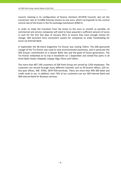Council, meeting in its configuration of finance ministers (ECOFIN Council), also set the conversion rate at 15.6466 Estonian kroons to one euro, which corresponds to the current central rate of the kroon in the EU exchange mechanism (ERM II).

In order to make the transition from the kroon to the euro as smooth as possible, all commercial and service companies will need to have acquired a sufficient amount of euros in cash for the first few days of January 2011 to ensure they have enough money for change. SEB launched most convenient system for companies to order frontloading for euros via Internet Bank.

In September the 46‐metre brigantine Tre Kronor was visiting Tallinn. The SEB‐sponsored voyage of the Tre Kronor was used to raise environmental awareness, and in particular the SEB Group's commitment to a cleaner Baltic Sea and the good of future generations. The Tre Kronor embarked on its trip in Stockholm on 1 September and visited five ports in all three Baltic States: Klaipeda, Liepaja, Riga, Pärnu and Tallinn.

The more than 807 100 customers of SEB Pank Group are served by 1350 employees. The customers are served through many different channels such as 49 branch offices, 224 on‐ line post offices, 348 ATMs, 5879 POS‐terminals. There are more than 499 300 debit and credit cards in use. In addition, over 73% of our customers use our SEB Internet Bank and SEB Internet Bank for Business services.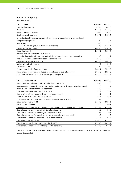# **3. Capital adequacy**

(millions of EEK)

| <b>CAPITAL BASE</b>                                                                  | 30.09.10 | 31.12.09   |
|--------------------------------------------------------------------------------------|----------|------------|
| Paid-in share capital                                                                | 665.6    | 665.6      |
| Premium                                                                              | 1,346.6  | 1,346.6    |
| General banking reserves                                                             | 306.0    | 306.0      |
| Retained earnings / loss                                                             | 5,137.7  | 6,428.2    |
| Unrealised profit for previous periods on shares of subsidiaries and associated      |          |            |
| companies (negative)                                                                 | $-0.7$   | $-3.8$     |
| Intangibles                                                                          | $-5.5$   | $-9.6$     |
| Loss for the period (group without life insurance)                                   | 0.0      | $-1,427.1$ |
| Total primary own funds                                                              | 7,449.7  | 7,305.9    |
| Subordinated debt                                                                    | 1,830.7  | 2,613.0    |
| Available for sale financial instruments                                             | 2.0      | 2.9        |
| Unrealised part of profit on shares of subsidiaries and associated companies         | 0.3      | 1.7        |
| Allowances and adjustments exceeding expected loss                                   | 192.3    | 231.2      |
| Total supplementary own funds                                                        | 2,025.3  | 2,848.8    |
| Majority holding in insurers                                                         | 0.0      | 30.0       |
| Total deductions                                                                     | 0.0      | 30.0       |
| Primary own funds after deductions                                                   | 7,449.7  | 7,290.9    |
| Supplementary own funds included in calculation of capital adequacy                  | 2,025.3  | 2,833.8    |
| Own funds included in calculation of capital adequacy                                | 9,475.0  | 10,124.7   |
|                                                                                      |          |            |
| <b>CAPITAL REQUIREMENTS</b>                                                          | 30.09.10 | 31.12.09   |
| Municipalities and regions with standardised approach                                | 88.6     | 92.0       |
| State agencies, non-profit institutions and associations with standardised approach  | 1.9      | 2.1        |
| Retail claims with standardised approach                                             | 228.3    | 223.7      |
| Overdue claims with standardised approach                                            | 22.2     | 19.7       |
|                                                                                      |          |            |
| Shares of investment funds with standardised approach                                | 6.7      | 6.1        |
| Other assets with standardised approach                                              | 45.9     | 52.6       |
| Credit institutions, investment firms and municipalities with IRB                    | 70.2     | 35.5       |
| Other companies with IRB                                                             | 2,367.3  | 3,058.1    |
| Retail claims with IRB                                                               | 767.7    | 760.3      |
| Total capital requirements for covering the credit risk and counterparty credit risk | 3,598.8  | 4,250.1    |
| Capital requirement for covering interest position risk                              | 21.3     | 28.9       |
| Capital requirement for covering equity position risk                                | 0.4      | 0.5        |
| Capital requirement for covering the trading portfolio settlement risk               | 0.8      | 0.0        |
| Capital requirement for covering AMA of operational risk                             | 125.8    | 95.5       |
| Capital requirements total                                                           | 3,747.1  | 4,375.0    |
| Transition period floor of own funds if using IRB                                    | 4,778.3  | 5,036.1    |

\*Basel II calculations are made for Group without AS SEB Elu‐ ja Pensionikindlustus (li fe insurance), holding in insurer is deducted.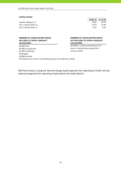#### **CAPITAL RATIOS**

| 19.83 | 20.10             |
|-------|-------------------|
| 15.59 | 14.48             |
| 4.24  | 5.62              |
|       | 30.09.10 31.12.09 |

| <b>MEMBERS OF CONSOLIDATION GROUP,</b> |
|----------------------------------------|
| INCLUDED TO CAPITAL ADEQUACY           |
| CALCULATION                            |

AS SEB Pank **CALCULATION**

#### **MEMBERS OF CONSOLIDATION GROUP, NOT INCLUDED TO CAPITAL ADEQUACY CALCULATION**

AS SEB Elu‐ ja Pensionikindlustus (no more in consolidation group from January, 2010)

AS SEB Liising Group AS SEB Varahaldus AS Bangalo AS SEB Enskilda OÜ Estectus (no more in consolidation group from February, 2010)

SEB Pank Group is using the internal ratings based approach for reporting of credit risk and advanced approach for reporting of operational risk under Basel II.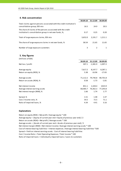# **4. Risk concentration**

|                                                                                                                         | 30.09.10 | 31.12.09 | 30.09.09 |
|-------------------------------------------------------------------------------------------------------------------------|----------|----------|----------|
| Total claims against persons associated with the credit institution's<br>consolidation group, EEK mio                   | 16.5     | 24.9     | 20.5     |
| The share of claims of the persons associated with the credit<br>institution's consolidation group in net own funds, %, | 0.17     | 0.25     | 0.20     |
| Total of large exposure claims, EEK mio                                                                                 | 3.652.0  | 2,191.7  | 1,211.1  |
| The share of large exposure claims in net own funds, %                                                                  | 38.54    | 21.65    | 11.65    |
| Number of large exposure customers                                                                                      | 3        |          |          |

#### **5. Key figures**

| (millions of EEK)               |          |            |            |
|---------------------------------|----------|------------|------------|
|                                 | 30.09.10 | 31.12.09   | 30.09.09   |
| Net loss / profit               | 307.1    | $-1,381.9$ | $-1,097.2$ |
| Average equity                  | 7,617.2  | 8,147.7    | 8,287.1    |
| Return on equity (ROE), %       | 5.38     | $-16.96$   | $-17.65$   |
| Average assets                  | 71,112.2 | 79,746.8   | 80,701.8   |
| Return on assets (ROA), %       | 0.58     | $-1.73$    | $-1.81$    |
| Net interest income             | 851.1    | 1,328.4    | 1023.9     |
| Average interest earning assets | 68,485.7 | 76,362.3   | 77,293.8   |
| Net interest margin (NIM), %    | 1.66     | 1.74       | 1.77       |
| Spread, %                       | 1.51     | 1.48       | 1.47       |
| Cost / Income ratio, %          | 54.5     | 72.5       | 71.1       |
| Ratio of impaired loans, %      | 4.34     | 4.41       | 3.16       |

#### **Explanations**

Return on equity (ROE) = Net profit / Average equity \* 100 Average equity = (Equity of current year end + Equity of previous year end) / 2 Return on assets (ROA) = Net profit / Average assets \* 100 Average assets = (Assets of current year end + Assets of previous year end) / 2 Cost of interest bearing liabilities = Interest expenses / Average interest bearing liabilities \*100 Cost / Income Ratio = Total Operating Expenses / Total Income \* 100 Spread = Yield on interest earning assets ‐ Cost of interest bearing liabilities Ratio of impaired loans = Individually impaired loans / Loans to customers Net interest margin (NIM) = Net interest income / Average interest earning assets \* 100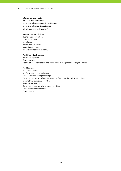#### **Interest earning assets:**

Balances with central bank Loans and advances to credit institutions (all without accrued interests) Loans and advances to customers

#### **Interest bearing liabilities:**

Due to credit institutions Due to customers Loan funds Issued debt securities Subordinated loans (all without accrued interests)

#### **Total Operating Expenses:**

Personnel expenses Other expenses Depreciation, amortisation and impairment of tangible and intangible assets

#### **Total Income:**

Net interest income Net fee and commission income Net income from foreign exchange Gains less losses from financial assets at fair value through profit or loss Income from insurance activities Income from dividends Gains less losses from investment securities Share of profit of associates Other income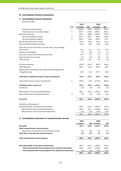# **III. Consolidated financial statements**

#### **1. Consolidated income statement**

|                                                                                |      | 2010     |          | 2009          |          |
|--------------------------------------------------------------------------------|------|----------|----------|---------------|----------|
|                                                                                | Note | 9 months | QIII     | 9 months      | QIII     |
| Interest and similar income                                                    | 2    | 1,458.9  | 466.9    | 2,504.3       | 662.4    |
| Interest expenses and similar charges                                          | 3    | $-607.7$ | -178.9   | $-1,480.3$    | $-369.2$ |
| Net Interest Income                                                            |      | 851.2    | 288.0    | 1,024.0       | 293.2    |
| Fee and commission income                                                      | 4    | 610.7    | 206.1    | 609.6         | 219.9    |
| Fee and commission expense                                                     | 5    | $-163.5$ | $-56.8$  | $-182.5$      | $-62.7$  |
| Net fee and commission income                                                  |      | 447.2    | 149.3    | 427.1         | 157.2    |
| Net income from foreign exchange                                               |      | 83.0     | 28.4     | 84.6          | 30.0     |
| Gains less losses from financial assets at fair value through                  |      |          |          |               |          |
| profit or loss                                                                 |      | 12.1     | $-11.1$  | 41.7          | 43.2     |
| Income from dividends                                                          |      | 0.1      | $-0.8$   | 1.9           | 1.9      |
| Gains less losses from investment securities                                   |      | 51.7     | $-0.1$   | 6.3           | 0.5      |
| Share of profit of associates                                                  |      | $-0.3$   | $-0.4$   | 0.8           | 0.4      |
| Other income                                                                   |      | 115.6    | 38.1     | 6.9           | 0.6      |
| Personnel expenses                                                             |      | $-419.9$ | $-144.2$ | $-468.7$      | $-148.2$ |
| Other expenses                                                                 |      | $-391.1$ | $-121.9$ | $-266.2$      | $-86.3$  |
| Depreciation, amortisation and impairment of tangible and<br>intangible assets |      | $-39.5$  | $-12.6$  | -427.7        | $-16.9$  |
| Profit before impairment losses on loans and advances                          |      | 710.1    | 212.7    | 430.7         | 275.6    |
| Impairment losses on loans and advances                                        | 6    | $-403.0$ | 10.6     | $-1,577.4$    | $-854.5$ |
| Profit/loss before income tax                                                  |      | 307.1    | 223.3    | $-1,146.7$    | $-578.9$ |
| Income tax                                                                     |      | 0.0      | 0.0      | 0.0           | 0.0      |
|                                                                                |      |          |          |               |          |
| Net profit/loss from continued operations                                      |      | 307.1    | 223.3    | -1,146.7      | $-578.9$ |
| Net profit from discontinued operations                                        | 11   | 0.0      | 0.0      | 49.5          | 23.5     |
| Net profit                                                                     |      | 307.1    | 223.3    | $-1,097.2$    | $-555.4$ |
| Profit/loss attributable to:                                                   |      |          |          |               |          |
| Sole equity holder of the parent entity (total)                                |      | 307.1    | 223.3    | $-1,097.2$    | $-555.4$ |
| -Net profit/loss from continued operations                                     |      | 307.1    | 223.3    | $-1,146.8$    | $-579.0$ |
| -Net profit/loss from discontinued operations                                  |      | 0.0      | 0.0      | 49.5          | 23.5     |
|                                                                                |      | 307.1    | 223.3    | $-1,097.2$    | $-555.4$ |
| 2. Consolidated statement of comprehensive income                              |      |          |          |               |          |
|                                                                                |      | 2010     |          | 2009          |          |
|                                                                                |      | 9 months |          | QIII 9 months | QIII     |
| Net profit                                                                     |      | 307.1    | 223.3    | $-1,097.2$    | $-555.4$ |
| Other comprehensive income/expense                                             |      |          |          |               |          |
| Revaluation of available-for-sale financial assets                             |      | $-2.0$   | $-0.6$   | 6.5           | 9.2      |
| Total other comprehensive income/expense                                       |      | $-2.0$   | $-0.6$   | 6.5           | 9.2      |
| Total comprehensive income/expense                                             |      | 305.1    | 222.7    | $-1,090.7$    | -546.2   |
|                                                                                |      |          |          |               |          |
| Sole equity holder of the parent entity (total)                                |      | 305.1    | 222.7    | $-1,090.7$    | $-546.2$ |
| -Total comprehensive income/expense from continued operations                  |      | 305.1    | 222.7    | $-1,140.2$    | $-569.7$ |
| -Total comprehensive income/expense from discontinued operations               |      | 0.0      | 0.0      | 49.5          | 23.5     |
|                                                                                |      | 305.1    | 222.7    | $-1,090.7$    | $-546.2$ |
|                                                                                |      |          |          |               |          |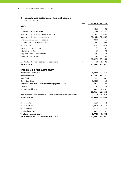# **3. Consolidated statement of financial position**

|                                                                      | <b>Note</b> |          | 30.09.10 31.12.09 |
|----------------------------------------------------------------------|-------------|----------|-------------------|
| <b>ASSETS</b>                                                        |             |          |                   |
| Cash                                                                 |             | 586.1    | 638.9             |
| Balances with central bank                                           |             | 2,553.6  | 4,827.1           |
| Loans and advances to credit institutions                            |             | 6,131.2  | 4,633.4           |
| Loans and advances to customers                                      |             |          | 57,134.4 61,846.3 |
| Financial assets held for trading                                    |             | 389.1    | 366.2             |
| Available-for-sale financial assets                                  |             | 77.7     | 99.6              |
| Other assets                                                         |             | 816.1    | 662.8             |
| Investments in associates                                            |             | 6.3      | 10.1              |
| Intangible assets                                                    |             | 5.6      | 9.6               |
| Property, plant and equipment                                        |             | 102.3    | 116.8             |
| Investment properties                                                |             | 24.9     | 25.4              |
|                                                                      |             |          | 67,827.3 73,236.2 |
| Assets classified as discontinued operations                         | 11          | 0.0      | 1,160.9           |
| <b>TOTAL ASSETS</b>                                                  |             |          | 67,827.3 74,397.1 |
|                                                                      |             |          |                   |
| LIABILITIES AND SHAREHOLDERS' EQUITY                                 |             |          |                   |
| Due to credit institutions                                           |             |          | 24,347.8 29,786.0 |
| Due to customers                                                     |             |          | 31,832.1 31,824.2 |
| Loan funds                                                           |             | 168.2    | 188.5             |
| Other liabilities                                                    |             | 1,435.9  | 851.1             |
| Financial liabilities at fair value through profit or loss           |             | 425.7    | 358.5             |
| Provisions                                                           |             | 5.2      | 2.6               |
| Subordinated loans                                                   |             | 1,841.5  | 2,615.9           |
|                                                                      |             |          | 60,056.4 65,626.8 |
| Liabilities included in assets classified as discontinued operations | 11          | 0.0      | 1,306.8           |
| <b>Total Liabilities</b>                                             |             |          | 60,056.4 66,933.6 |
|                                                                      |             |          |                   |
| Share capital                                                        |             | 665.6    | 665.6             |
| Share premium                                                        |             | 1,346.6  | 1,346.6           |
| Other reserves                                                       |             | 310.5    | 332.0             |
| Retained earnings                                                    |             | 5,448.2  | 5,119.3           |
| <b>Total shareholders' equity</b>                                    |             | 7,770.9  | 7,463.5           |
| TOTAL LIABILITIES AND SHAREHOLDERS' EQUITY                           |             | 67,827.3 | 74,397.1          |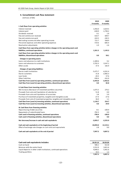# **4. Consolidated cash flow statement**

|                                                                                 | 2010       | 2009       |
|---------------------------------------------------------------------------------|------------|------------|
| I. Cash flows from operating activities                                         | 9 months   | 9 months   |
| Interest received                                                               | 1,456.0    | 2,624.5    |
| Interest paid                                                                   | $-638.9$   | $-1,790.2$ |
| Dividends received                                                              | 0.1        | 1.9        |
| Fee and commission received                                                     | 610.7      | 609.7      |
| Fee and commission paid                                                         | $-163.5$   | $-182.5$   |
| Net trading income and other operating income                                   | 722.7      | 568.9      |
| Personnel expenses and other operating expenses                                 | $-724.6$   | $-685.4$   |
| Revaluation adjustments                                                         | $-1.0$     | $-1.6$     |
| Cash flows from operating activities before changes in the operating assets and |            |            |
| liabilities, continued operations                                               | 1,261.5    | 1,145.3    |
| Cash flows from operating activities before changes in the operating assets and |            |            |
| liabilities, discontinued operations                                            | 0.0        | 58.1       |
| Changes in operating assets:                                                    |            |            |
| Loans and advances to credit institutions                                       | $-1,389.6$ | 9.2        |
| Loans and advances to customers                                                 | 3,702.3    | 3,547.1    |
| Other assets                                                                    | 37.4       | 182.9      |
|                                                                                 |            |            |
| <b>Changes of operating liabilities:</b><br>Due to credit institutions          | $-5,475.7$ | $-4,261.4$ |
| Due to customers                                                                | 31.8       | $-2,982.3$ |
| Loan funds                                                                      | $-20.3$    | 57.6       |
| Other liabilities                                                               | -590.4     | $-161.0$   |
| Cash flow from (used in) operating activities, continued operations             | $-2,443.0$ | $-2,462.6$ |
| Cash flow from (used in) operating activities, discontinued operations          | 0.0        | 82.8       |
| II. Cash flows from investing activities                                        |            |            |
| Net increase-/decrease+ of investment portfolio securities                      | 1,075.5    | 276.2      |
| Proceeds from sale and liquidation of subsidaries                               | 51.8       | 0.0        |
| Proceeds from sale and liquidation of associates                                | 3.8        | 5.0        |
| Purchase of investment properties, tangible and intangible assets               | $-27.4$    | $-27.6$    |
| Proceeds from sale of investment properties, tangible and intangible assets     | 36.0       | 1.1        |
| Cash flow from (used in) investing activities, continued operations             | 1,139.7    | 254.7      |
| Cash flow from (used in) investing activities, discontinued operations          | 0.0        | $-29.9$    |
| III. Cash flows from financing activities                                       |            |            |
| Repurchasing of debt securities                                                 | $-8.1$     | $-100.9$   |
| Repayments of subordinated loans                                                | $-782.3$   | $0.0\,$    |
| Cash used in financing activities, continued operations                         | $-790.4$   | $-100.9$   |
| Cash used in financing activities, discontinued operations                      | 0.0        | 0.0        |
| Net decrease/increase in cash and cash equivalents                              | -2,093.7   | $-2,255.9$ |
| Cash and cash equivalents at the beginning of period                            | 10,094.0   | 12,153.1   |
| Effect of exchange rate changes on cash and cash equivalents                    | $-2.8$     | 0.0        |
| Cash and cash equivalents at the end of period                                  | 7,997.5    | 9,897.2    |

| Cash and cash equivalents includes:                                | 30.09.10 | 30.09.09 |
|--------------------------------------------------------------------|----------|----------|
| Cash on hand                                                       | 586.1    | 612.8    |
| Balances with the central bank                                     | 2.552.9  | 3.821.6  |
| Liquid deposits in other credit institutions, continued operations | 4.848.3  | 5.461.6  |
| Trading portfolio                                                  | 10.2     | 1.2      |
|                                                                    | 7.997.5  | 9.897.2  |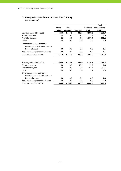# **5. Changes in consolidated shareholders' equity**

|                                                                 |              |              |                 |                 | <b>Total</b>  |
|-----------------------------------------------------------------|--------------|--------------|-----------------|-----------------|---------------|
|                                                                 | <b>Share</b> | <b>Share</b> |                 | <b>Retained</b> | shareholders' |
|                                                                 | capital      | premium      | <b>Reserves</b> | profit          | equity        |
| Year beginning 01.01.2009                                       | 665.6        | 1,346.6      | 318.9           | 6,500.8         | 8,831.9       |
| Statutory reserve                                               | 0.0          | 0.0          | 1.1             | $-1.1$          | 0.0           |
| Profit for the year                                             | 0.0          | 0.0          | 0.0             | $-1,097.2$      | $-1,097.2$    |
| Other                                                           | 0.0          | 0.0          | 0.0             | 1.0             | 1.0           |
| Other comprehensive income:<br>Net change in available-for-sale |              |              |                 |                 |               |
| financial assets                                                | 0.0          | 0.0          | 6.5             | 0.0             | 6.5           |
| Total other comprehensive income                                | 0.0          | 0.0          | 6.5             | 0.0             | 6.5           |
| Final balance 30.09.2009                                        | 665.6        | 1,346.6      | 326.5           | 5,403.5         | 7,742.2       |
|                                                                 |              |              |                 |                 |               |
| Year beginning 01.01.2010                                       | 665.6        | 1,346.6      | 332.0           | 5,119.3         | 7,463.5       |
| Statutory reserve                                               | 0.0          | 0.0          | $-19.5$         | 19.5            | 0.0           |
| Profit for the year                                             | 0.0          | 0.0          | 0.0             | 307.1           | 307.1         |
| Other                                                           | 0.0          | 0.0          | 0.0             | 2.3             | 2.3           |
| Other comprehensive income:                                     |              |              |                 |                 |               |
| Net change in available-for-sale                                |              |              |                 |                 |               |
| financial assets                                                | 0.0          | 0.0          | $-2.0$          | 0.0             | $-2.0$        |
| Total other comprehensive income                                | 0.0          | 0.0          | $-2.0$          | 0.0             | $-2.0$        |
| Final balance 30.09.2010                                        | 665.6        | 1,346.6      | 310.5           | 5,448.2         | 7,770.9       |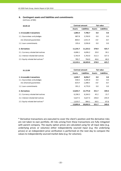# **6. Contingent assets and liabilities and commitments**

(millions of EEK)

| 30.09.10                          | <b>Contract amount</b> |                    | <b>Fair value</b> |                    |
|-----------------------------------|------------------------|--------------------|-------------------|--------------------|
|                                   | Assets                 | <b>Liabilities</b> | <b>Assets</b>     | <b>Liabilities</b> |
| 1. Irrevocable transactions       | 1,083.4                | 7,706.7            | 0.0               | 0.0                |
| 1.1. Guarantees and pledges       | 887.8                  | 3,769.9            | 0.0               | 0.0                |
| incl. financial quarantees        | 860.6                  | 1,911.9            | 0.0               | 0.0                |
| 1.2. Loan commitments             | 195.6                  | 3,936.8            | 0.0               | 0.0                |
| 2. Derivatives                    | 11,235.7               | 11,223.2           | 378.9             | 425.7              |
| 2.1. Currency related derivatives | 4,686.1                | 4,696.2            | 20.0              | 30.1               |
| 2.2. Interest related derivatives | 5,763.9                | 5,763.0            | 312.3             | 327.3              |
| 2.3. Equity related derivatives*  | 785.7                  | 764.0              | 46.6              | 68.3               |
|                                   | 12,319.1               | 18,929.9           | 378.9             | 425.7              |

| 31.12.09                          |               | <b>Contract amount</b> |        | <b>Fair value</b>  |  |
|-----------------------------------|---------------|------------------------|--------|--------------------|--|
|                                   | <b>Assets</b> | Liabilities            | Assets | <b>Liabilities</b> |  |
| 1. Irrevocable transactions       | 1,049.7       | 8,056.7                | 0.0    | 0.0                |  |
| 1.1. Guarantees and pledges       | 658.5         | 3,285.8                | 0.0    | 0.0                |  |
| incl. financial guarantees        | 625.9         | 1,288.5                | 0.0    | 0.0                |  |
| 1.2. Loan commitments             | 391.2         | 4.770.9                | 0.0    | 0.0                |  |
| 2. Derivatives                    | 12,843.7      | 12,775.8               | 351.7  | 349.4              |  |
| 2.1. Currency related derivatives | 6,196.5       | 6,164.3                | 45.2   | 15.7               |  |
| 2.2. Interest related derivatives | 5,627.5       | 5,627.4                | 246.0  | 245.9              |  |
| 2.3. Equity related derivatives*  | 1,019.7       | 984.1                  | 60.5   | 87.8               |  |
|                                   | 13,893.4      | 20.832.5               | 351.7  | 349.4              |  |

\* Derivative transactions are executed to cover the client's position and the derivative risks are not taken to own portfolio. All risks arising from these transactions are fully mitigated with parent company. The equity option prices are calculated using for all input data (e.g. underlying prices or volumes) either independently sourced input (e.g. the underlying prices) or an independent price verification is performed on the next day to compare the values to independently sourced market data (e.g. for volumes).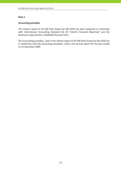# **Accounting principles**

The interim report of AS SEB Pank Group for QIII 2010 has been prepared in conformity with International Accounting Standard IAS 34 "Interim Financial Reporting" and the disclosure requirements, established by Eesti Pank.

The accounting principles, used in the interim report of AS SEB Pank Group for QIII 2010 are in conformity with the accounting principles, used in the annual report for the year ended on 31 December 2009.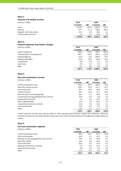#### **Interest and similar income**

| (millions of EEK) |  |  |
|-------------------|--|--|
|-------------------|--|--|

| (millions of EEK)         | 2010     | 2009  |          |       |  |
|---------------------------|----------|-------|----------|-------|--|
|                           | 9 months | QIII  | 9 months | QIII  |  |
| Loans                     | 1,318.7  | 431.0 | 2.104.0  | 553.7 |  |
| Leasing                   | 117.5    | 27.3  | 358.8    | 100.2 |  |
| Deposits with other banks | 20.5     | 8.5   | 26.0     | 6.4   |  |
| Fixed income securities   | 2.2      | 0.1   | 15.5     | 2.1   |  |
|                           | 1.458.9  | 466.9 | 2.504.3  | 662.4 |  |

#### **Note 3**

#### **Interest expenses and similar charges**

(millions of EEK) **2010 2009**

|                                | 9 months | QIII     | 9 months   | QIII     |
|--------------------------------|----------|----------|------------|----------|
| Credit institutions            | $-354.2$ | $-110.6$ | $-748.7$   | $-164.9$ |
| Time and other saving deposits | $-180.7$ | $-46.2$  | $-450.2$   | $-133.9$ |
| Demand deposits                | $-35.9$  | $-9.9$   | $-209.0$   | $-54.3$  |
| Subordinated debts             | $-32.8$  | $-10.9$  | $-65.0$    | $-14.3$  |
| Issued bonds                   | 0.0      | 0.0      | $-2.5$     | 0.0      |
| Loan funds                     | $-4.0$   | $-1.3$   | $-4.6$     | $-1.7$   |
| Other                          | $-0.1$   | 0.0      | $-0.3$     | $-0.1$   |
|                                | $-607.7$ | $-178.9$ | $-1.480.3$ | $-369.2$ |

#### **Note 4**

#### **Fee and commission income**

| (millions of EEK)                             | 2010     |       | 2009     |       |
|-----------------------------------------------|----------|-------|----------|-------|
|                                               | 9 months | QIII  | 9 months | QIII  |
| Credit and payment cards                      | 222.2    | 80.0  | 230.2    | 78.4  |
| Securities market services                    | 138.1    | 45.3  | 121.7    | 50.7  |
| Transaction fees                              | 85.5     | 28.5  | 48.6     | 17.3  |
| Credit contracts*                             | 46.5     | 14.8  | 87.1     | 29.7  |
| Non-life insurance brokerage fees             | 28.2     | 9.1   | 30.0     | 9.9   |
| Income from leasing agreements (full service) | 19.0     | 5.9   | 4.9      | 4.5   |
| Corporate Finance fees                        | 5.6      | 0.5   | 27.4     | 8.7   |
| Other settlement fees                         | 21.6     | 7.0   | 20.1     | 7.4   |
| Income from electronic channels               | 13.0     | 4.6   | 12.6     | 4.1   |
| Cash handling fees                            | 12.8     | 4.3   | 9.9      | 3.5   |
| Other                                         | 18.2     | 6.1   | 17.1     | 5.7   |
|                                               | 610.7    | 206.1 | 609.6    | 219.9 |

\*Credit contracts include loan, leasing, letter of credit and guarantee contracts signed with customers, which are short-term and do not constitute interest income, but are of administrative nature for arrangement reorganisation of credits.

#### **Note 5**

# **Fee and commission expense**

| (millions of EEK)                             | 2010     |         | 2009     |         |
|-----------------------------------------------|----------|---------|----------|---------|
|                                               | 9 months | QIII    | 9 months | QIII    |
| Credit and payment cards                      | $-84.0$  | $-30.7$ | $-92.3$  | $-32.8$ |
| Cash collecting fees                          | $-20.6$  | $-7.1$  | $-14.7$  | $-5.0$  |
| Expenses to leasing agreements (full service) | $-14.6$  | $-4.5$  | $-20.8$  | $-6.7$  |
| Securities market                             | $-14.2$  | $-4.4$  | $-20.5$  | $-7.0$  |
| <b>Transaction fees</b>                       | $-10.3$  | $-2.9$  | $-12.8$  | $-3.7$  |
| Expenses of electronic channels               | $-7.9$   | $-3.0$  | $-11.5$  | $-4.3$  |
| Corporate Finance fees                        | 0.0      | 0.0     | $-9.9$   | $-3.2$  |
| Other                                         | $-11.9$  | $-4.2$  | 0.0      | 0.0     |
|                                               | $-163.5$ | $-56.8$ | $-182.5$ | $-62.7$ |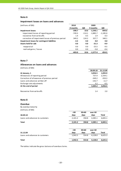# **Impairment losses on loans and advances**

| (millions of EEK) |  |  |
|-------------------|--|--|
|-------------------|--|--|

| (millions of EEK)                                  | 2010     |          | 2009       |            |
|----------------------------------------------------|----------|----------|------------|------------|
|                                                    | 9 months | QIII     | 9 months   | QIII       |
| <b>Impairment losses</b>                           | $-398.7$ | 10.6     | $-1,546.1$ | $-844.6$   |
| impairment losses of reporting period              | $-749.3$ | $-114.1$ | $-1,885.7$ | $-1,185.0$ |
| recoveries from write-offs                         | 1.4      | 0.5      | 1.9        | 0.3        |
| correction of impairment losses of previous period | 349.2    | 124.2    | 337.7      | 340.1      |
| Impairment losses for contingent liabilities       | $-4.3$   | 0.0      | 0.0        | 0.0        |
| Assets held for sale                               | 0.0      | 0.0      | $-31.3$    | $-9.9$     |
| reappraisal                                        | 0.0      | 0.0      | $-25.5$    | $-9.5$     |
| realised gains / losses                            | 0.0      | 0.0      | $-5.8$     | $-0.4$     |
|                                                    | $-403.0$ | 10.6     | $-1.577.4$ | $-854.5$   |

#### **Note 7**

#### **Allowances on loans and advances**

(millions of EEK)

|                                             | 30.09.10 | 31.12.09 |
|---------------------------------------------|----------|----------|
| At January, 1                               | 3,056.5  | 1,093.9  |
| Allowances of reporting period              | 737.4    | 2,334.1  |
| Correction of allowances of previous period | $-349.2$ | $-359.3$ |
| Loans and advances written off              | $-142.7$ | $-11.7$  |
| Exchange rate adjustments                   | 3.2      | $-0.5$   |
| At the end of period                        | 3,305.2  | 3,056.5  |
|                                             |          |          |
| Recoveries from write-offs                  | 1.4      | 2.0      |

# **Note 8**

# **Overdue**

| By overdue maturity |
|---------------------|
| (millions of EEK)   |

|                                 | $30$    | 30<60 | over 60            |              |
|---------------------------------|---------|-------|--------------------|--------------|
| 30.09.10                        | days    | days  | days               | <b>Total</b> |
| Loans and advances to customers | 2,101.2 | 358.8 | 4,385.1            | 6,845.1      |
| <b>Total</b>                    | 2,101.2 | 358.8 | 4,385.1            | 6,845.1      |
|                                 |         |       |                    |              |
|                                 | $30$    | 30<60 | over <sub>60</sub> |              |
| 31.12.09                        | days    | days  | days               | <b>Total</b> |
| Loans and advances to customers | 1,942.5 | 554.8 | 4,128.0            | 6,625.3      |
|                                 |         |       |                    |              |

The tables indicate the gross balance of overdue claims.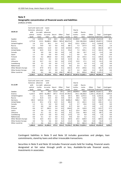#### **Geographic concentration of financial assets and liabilities**

(millions of EEK)

| 30.09.10             | balances<br>with | Cash and Loans and<br>advances<br>to credit | Loans<br>and<br>advances |         |        |          | Due to<br>credit  | Due to        |         |                         |             |
|----------------------|------------------|---------------------------------------------|--------------------------|---------|--------|----------|-------------------|---------------|---------|-------------------------|-------------|
|                      | central          | institu-                                    | to custo-                | Securi- | Other  | Total    | institu-          | custo-        | Other   | Total                   | Contingent  |
|                      | bank             | <b>tions</b>                                | mers                     | ties    | assets | assets   | tions             | mers          |         | liabilities liabilities | liabilities |
| Sweden               | 5.5              | 3,433.6                                     | 32.0                     | 66.5    | 16.0   | 3,553.6  | 23,484.0          | 166.0         | 2,164.8 | 25,814.8                | 26.7        |
| Estonia              | 2,773.8          | 115.5                                       | 56,680.1                 | 398.4   | 505.6  | 60,473.4 |                   | 59.8 28,230.8 | 1,406.9 | 29,697.5                | 7,533.8     |
| United Kingdom       | 2.6              | 15.2                                        | 30.1                     | 2.4     | 0.1    | 50.4     | 125.5             | 1,501.2       | 0.1     | 1,626.8                 | 5.7         |
| Russia               | 5.5              | 74.9                                        | 8.3                      | 0.0     | 0.0    | 88.7     | 7.3               | 237.4         | 0.5     | 245.2                   | 1.0         |
| Germany              | 259.8            | 2,258.2                                     | 12.0                     | 0.0     | 0.0    | 2,530.0  | 575.3             | 27.5          | 0.0     | 602.8                   | 107.7       |
| <b>United States</b> | 9.8              | 64.9                                        | 15.0                     | 5.8     | 0.1    | 95.6     | 7.3               | 335.1         | 0.1     | 342.5                   | 0.0         |
| Canada               | 1.8              | 0.0                                         | 0.0                      | 0.0     | 0.0    | 1.8      | 0.8               | 10.7          | 0.1     | 11.6                    | 0.0         |
| Japan                | 1.1              | 0.0                                         | 0.0                      | 0.0     | 0.0    | 1.1      | 0.0               | 2.6           | 0.0     | 2.6                     | 0.0         |
| Finland              | 0.0              | 0.2                                         | 290.0                    | 0.0     | 0.5    | 290.7    | 3.8               | 155.5         | 0.1     | 159.4                   | 17.5        |
| Latvia               | 5.4              | 56.3                                        | 0.2                      | 0.0     | 0.0    | 61.9     | 8.1               | 40.2          | 0.0     | 48.3                    | 0.0         |
| Lithuania            | 3.0              | 33.7                                        | 0.3                      | 0.0     | 0.0    | 37.0     | 13.9              | 17.1          | 0.2     | 31.2                    | 0.0         |
| Luxembourg           | 0.0              | 2.5                                         | 0.0                      | 0.0     | 7.7    | 10.2     | 1.9               | 0.0           | 0.1     | 2.0                     | 0.0         |
| Netherlands          | 0.0              | 0.1                                         | 9.5                      | 0.0     | 0.0    | 9.6      | 0.4               | 3.2           | 0.0     | 3.6                     | 0.0         |
| Other Western Europe | 7.7              | 47.9                                        | 47.6                     | 0.0     | 0.1    | 103.3    | 57.0              | 244.6         | 0.1     | 301.7                   | 12.6        |
| Other Eastern Europe | 3.9              | 28.0                                        | 0.7                      | 0.0     | 0.1    | 32.7     | 2.4               | 26.8          | 0.1     | 29.3                    | 0.0         |
| Other countries      | 59.8             | 0.2                                         | 8.6                      | 0.0     | 418.7  | 487.3    | 0.3               | 833.4         | 303.4   | 1,137.1                 | 1.7         |
|                      | 3,139.7          | 6,131.2                                     | 57,134.4                 | 473.1   | 948.9  | 67,827.3 | 24,347.8 31,832.1 |               | 3,876.5 | 60,056.4                | 7,706.7     |

|                      |          | Cash and Loans and | Loans     |             |        |          |                   |                |         |                         |             |
|----------------------|----------|--------------------|-----------|-------------|--------|----------|-------------------|----------------|---------|-------------------------|-------------|
|                      | balances | advances           | and       |             |        |          | Due to            |                |         |                         |             |
| 31.12.09             | with     | to credit          | advances  |             |        |          | credit            | Due to         |         |                         |             |
|                      | central  | institu-           | to custo- | Securi-     | Other  | Total    | institu-          | custo-         | Other   | Total                   | Contingent  |
|                      | bank     | tions              | mers      | <b>ties</b> | assets | assets   | tions             | mers           |         | liabilities liabilities | liabilities |
| Sweden               | 5.6      | 9.2                | 28.3      | 111.0       | 10.1   | 164.2    | 28,849.4          | 100.8          | 2,860.9 | 31,811.1                | 26.9        |
| Estonia              | 5,233.5  | 109.4              | 61,380.7  | 347.3       | 713.0  | 67,783.9 |                   | 191.5 28,206.8 | 1,103.1 | 29,501.4                | 7,876.0     |
| United Kingdom       | 2.5      | 21.2               | 39.8      | 1.2         | 0.0    | 64.7     | 80.5              | 1,472.5        | 0.3     | 1,553.3                 | 5.6         |
| Russia               | 5.2      | 41.0               | 13.5      | 0.0         | 0.0    | 59.7     | 10.4              | 214.8          | 1.6     | 226.8                   | 0.0         |
| Germany              | 130.4    | 4,352.6            | 5.2       | 0.0         | 0.0    | 4,488.2  | 568.2             | 50.5           | 0.0     | 618.7                   | 115.3       |
| <b>United States</b> | 12.3     | 45.1               | 17.8      | 12.9        | 0.2    | 88.3     | 2.5               | 241.5          | 0.1     | 244.1                   | 0.2         |
| Canada               | 1.2      | 0.1                | 0.0       | 0.0         | 0.0    | 1.3      | 3.7               | 10.6           | 0.0     | 14.3                    | 0.0         |
| Japan                | 0.7      | 0.0                | 0.0       | 0.0         | 0.0    | 0.7      | 0.0               | 1.1            | 0.0     | 1.1                     | 0.0         |
| Finland              | 0.0      | 0.7                | 290.3     | 3.4         | 0.5    | 294.9    | 2.6               | 120.9          | 0.2     | 123.7                   | 17.5        |
| Latvia               | 4.4      | 3.6                | 0.2       | 0.0         | 0.0    | 8.2      | 25.4              | 34.4           | 3.0     | 62.8                    | 0.0         |
| Lithuania            | 2.5      | 6.1                | 0.5       | 0.1         | 0.0    | 9.2      | 13.6              | 46.9           | 0.2     | 60.7                    | 0.0         |
| Luxembourg           | 0.0      | 15.9               | 0.0       | 0.0         | 0.0    | 15.9     | 1.9               | 0.0            | 0.0     | 1.9                     | 0.0         |
| Netherlands          | 0.0      | 0.1                | 9.7       | 0.0         | 0.1    | 9.9      | 0.0               | 3.2            | 0.1     | 3.3                     | 0.0         |
| Other Western Europe | 7.0      | 16.4               | 43.2      | 0.0         | 0.3    | 66.9     | 35.4              | 628.9          | 0.2     | 664.5                   | 12.6        |
| Other Eastern Europe | 3.0      | 7.4                | 0.6       | 0.0         | 0.2    | 11.2     | 0.6               | 30.0           | 0.4     | 31.0                    | 1.6         |
| Other countries      | 57.7     | 4.6                | 16.5      | 0.0         | 90.2   | 169.0    | 0.3               | 661.3          | 46.5    | 708.1                   | 1.0         |
|                      | 5,466.0  | 4,633.4            | 61,846.3  | 475.9       | 814.6  | 73,236.2 | 29,786.0 31,824.2 |                | 4,016.6 | 65,626.8                | 8,056.7     |

Contingent liabilities in Note 9 and Note 10 includes guarantees and pledges, loan commitments, stand‐by loans and other irrevocable transactions.

Securities in Note 9 and Note 10 includes Financial assets held for trading, Financial assets designated at fair value through profit or loss, Available‐for‐sale financial assets, Investments in associates.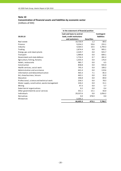# **Note 10 Concentration of financial assets and liabilities by economic sector** (millions of EEK)

|                                              | In the statement of financial position                 |                   |                                  |  |  |
|----------------------------------------------|--------------------------------------------------------|-------------------|----------------------------------|--|--|
| 30.09.10                                     | Cash and loans to central<br>bank, credit institutions |                   | Contingent<br><b>liabilities</b> |  |  |
|                                              | and customers                                          | <b>Securities</b> |                                  |  |  |
| Real estate                                  | 10,720.9                                               | 1.2               | 89.5                             |  |  |
| Finance                                      | 9,354.2                                                | 59.6              | 255.1                            |  |  |
| Industry                                     | 4,564.5                                                | 10.5              | 1,794.3                          |  |  |
| Trading                                      | 2,874.4                                                | 0.0               | 905.1                            |  |  |
| Energy, gas and steam plants                 | 2,329.7                                                | 0.0               | 925.7                            |  |  |
| Transport                                    | 1,989.8                                                | 0.0               | 684.1                            |  |  |
| Government and state defence                 | 1,716.3                                                | 0.7               | 281.2                            |  |  |
| Agriculture, fishing, forestry               | 1,435.4                                                | 0.0               | 176.4                            |  |  |
| Hotels, restaurants                          | 985.7                                                  | 0.0               | 6.5                              |  |  |
| Construction                                 | 858.8                                                  | 0.0               | 935.0                            |  |  |
| Health services, social work                 | 745.3                                                  | 0.0               | 100.2                            |  |  |
| Administration and assistance                | 641.4                                                  | 0.0               | 119.6                            |  |  |
| Information and telecommunication            | 465.3                                                  | 7.1               | 85.3                             |  |  |
| Art, show business, leisure                  | 463.1                                                  | 0.0               | 32.0                             |  |  |
| Education                                    | 346.8                                                  | 0.0               | 89.0                             |  |  |
| Professional, science and technical work     | 256.5                                                  | 0.0               | 78.3                             |  |  |
| Water supply, canalisation, waste management | 226.2                                                  | 0.0               | 31.1                             |  |  |
| Mining                                       | 47.3                                                   | 0.0               | 5.7                              |  |  |
| Exterritorial organisations                  | 0.2                                                    | 0.0               | 0.4                              |  |  |
| Other government & social services           | 351.1                                                  | 15.1              | 56.0                             |  |  |
| Individuals                                  | 29,337.6                                               | 0.0               | 1,056.2                          |  |  |
| Derivatives                                  | 0.0                                                    | 378.9             | 0.0                              |  |  |
| Allowances                                   | $-3,305.2$                                             |                   |                                  |  |  |
|                                              | 66,405.3                                               | 473.1             | 7,706.7                          |  |  |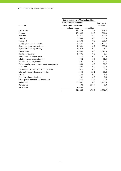|                                              | In the statement of financial position |                   |                  |
|----------------------------------------------|----------------------------------------|-------------------|------------------|
|                                              | Cash and loans to central              |                   | Contingent       |
| 31.12.09                                     | bank, credit institutions              |                   | liabilities      |
|                                              | and customers                          | <b>Securities</b> |                  |
| Real estate                                  | 11,212.3                               | 1.2               | 129.4            |
| Finance                                      | 10,184.8                               | 52.0              | 316.3            |
| Industry                                     | 4,481.3                                | 16.9              | 1,467.3          |
| Trading                                      | 3,900.4                                | 20.6              | 868.8            |
| Transport                                    | 3,013.1                                | 0.0               | 301.3            |
| Energy, gas and steam plants                 | 2,545.0                                | 0.0               | 1,842.2          |
| Government and state defence                 | 1,784.4                                | 0.7               | 335.5            |
| Agriculture, fishing, forestry               | 1,605.4                                | 0.0               | 75.5             |
| Construction                                 | 1,094.6                                | 0.0               | 1,027.4          |
| Hotels, restaurants                          | 1,039.3                                | 0.0               | 5.6              |
| Health services, social work                 | 822.0                                  | 0.0               | 105.6            |
| Administration and assistance                | 595.2                                  | 0.0               | 96.3             |
| Art, show business, leisure                  | 539.2                                  | 0.0               | 32.3             |
| Water supply, canalisation, waste management | 335.6                                  | 0.0               | 50.7             |
| Education                                    | 329.0                                  | 0.0               | 95.8             |
| Professional, science and technical work     | 261.0                                  | 0.0               | 63.8             |
| Information and telecommunication            | 244.3                                  | 15.1              | 88.8             |
| Mining                                       | 135.8                                  | 0.0               | 5.5 <sub>1</sub> |
| Exterritorial organisations                  | 0.1                                    | 0.0               | 0.5              |
| Other government and social services         | 774.9                                  | 17.7              | 32.8             |
| Individuals                                  | 30,104.5                               | 0.0               | 1,115.3          |
| Derivatives                                  | 0.0                                    | 351.7             | 0.0              |
| Allowances                                   | $-3,056.5$                             |                   |                  |
|                                              | 71,945.7                               | 475.9             | 8,056.7          |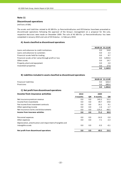#### **Discontinued operations**

(millions of EEK)

The assets and liabilities related to AS SEB Elu‐ ja Pensionikindlustus and OÜ Estectus have been presented as discontinued operations following the approval of the Group´s management on a proposal for the sale, respective decisions were made on December 2009. The sale of AS SEB Elu- ja Pensionikindlustus has been completed in January 2010 and sale of OÜ Estectus ‐ in February 2010.

#### **A) Assets classified as discontinued operations**

|                                                       |     | 30.09.10 31.12.09 |
|-------------------------------------------------------|-----|-------------------|
| Loans and advances to credit institutions             | 0.0 | 54.8              |
| Loans and advances to customers                       | 0.0 | 2.3               |
| Financial assets held for trading                     | 0.0 | 9.7               |
| Financial assets at fair value through profit or loss | 0.0 | 1,050.4           |
| Other assets                                          | 0.0 | 14.7              |
| Property, plant and equipment                         | 0.0 | 2.0               |
| Investment properties                                 | 0.0 | 27.0              |
|                                                       | 0.0 | 1.160.9           |

#### **B) Liabilitiesincluded in assets classified as discontinued operations**

|                       |     | 30.09.10 31.12.09 |
|-----------------------|-----|-------------------|
| Financial liabilities | 0.0 | 626.4             |
| Provisions            | 0.0 | 680.4             |
|                       | 0.0 | 1,306.8           |

#### **C) Net profit from discontinued operations**

| Income from insurance activities                          | 2010     |      | 2009     |         |
|-----------------------------------------------------------|----------|------|----------|---------|
|                                                           | 9 months | QIII | 9 months | QIII    |
| Net insurance premium revenue                             | 0.0      | 0.0  | 142.2    | 52.2    |
| Income from investments                                   | 0.0      | 0.0  | 39.7     | 19.8    |
| Fee income from investment contracts                      | 0.0      | 0.0  | 16.1     | 9.1     |
| Other operating income                                    | 0.0      | 0.0  | $-1.6$   | $-1.7$  |
| Net insurance claims and disbursements                    | 0.0      | 0.0  | $-125.2$ | $-48.5$ |
| Income from insurance activities                          | 0.0      | 0.0  | 71.2     | 30.9    |
| Personnel expenses                                        | 0.0      | 0.0  | $-14.3$  | $-5.0$  |
| Other expenses                                            | 0.0      | 0.0  | $-7.1$   | $-2.3$  |
| Depreciation, amortisation and impairment of tangible and |          |      |          |         |
| intangible assets                                         | 0.0      | 0.0  | $-0.3$   | $-0.1$  |
| Net profit from discontinued operations                   | 0.0      | 0.0  | 49.5     | 23.5    |